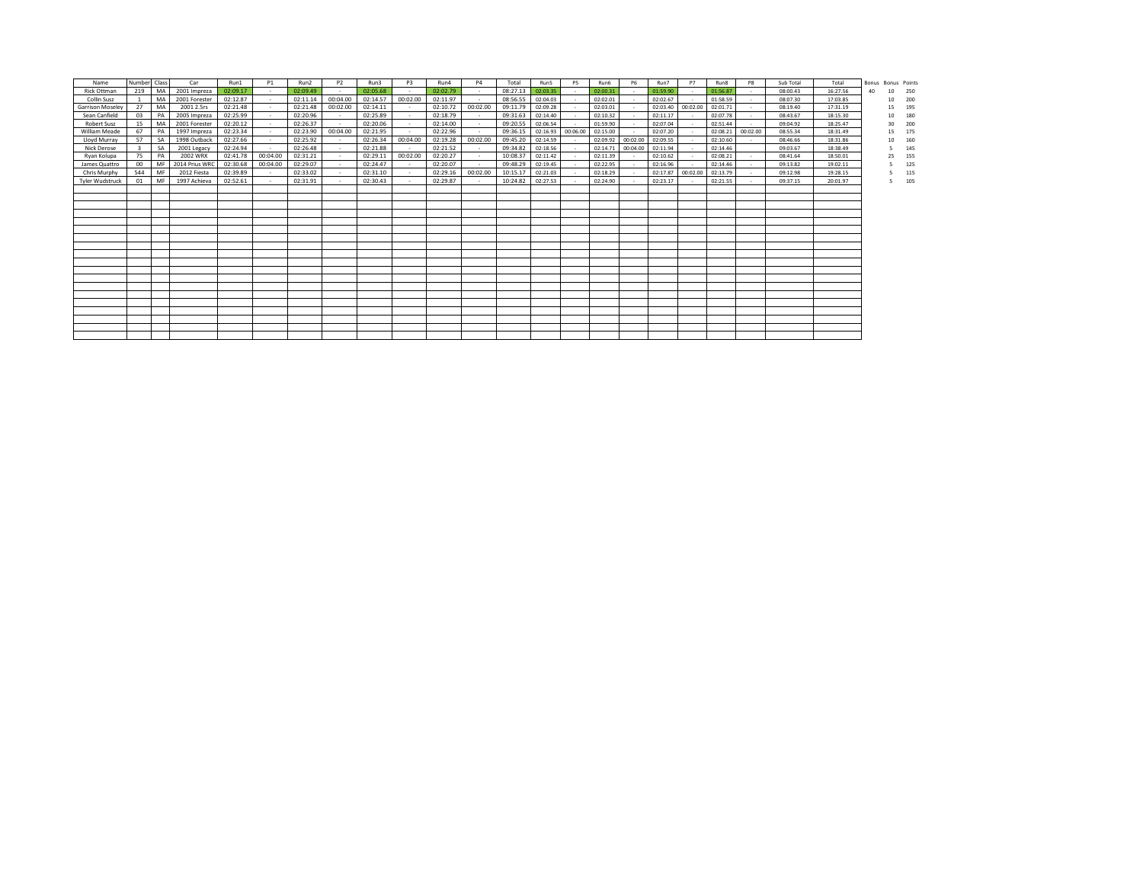| Name                    | Number Class |           | Car            | Run1     | <b>P1</b> | Run2     | P <sub>2</sub> | Run3     | P <sub>3</sub> | Run4     | P <sub>4</sub> | Total    | Run5     | P <sub>5</sub> | Run6     | <b>P6</b> | Run7     | P7       | Run8     | P8       | Sub Total | Total    | Bonus Bonus Points |    |     |
|-------------------------|--------------|-----------|----------------|----------|-----------|----------|----------------|----------|----------------|----------|----------------|----------|----------|----------------|----------|-----------|----------|----------|----------|----------|-----------|----------|--------------------|----|-----|
| <b>Rick Ottman</b>      | 219          | MA        | 2001 Impreza   | 02:09.17 | $\sim$    | 02:09.49 |                | 02:05.68 | $\sim$         | 02:02.79 | $\sim$         | 08:27.13 | 02:03.35 |                | 02:00.31 | $\sim$    | 01:59.90 | $\sim$   | 01:56.87 |          | 08:00.43  | 16:27.56 | 40                 | 10 | 250 |
| Collin Susz             |              | MA        | 2001 Forester  | 02:12.87 |           | 02:11.14 | 00:04.00       | 02:14.57 | 00:02.00       | 02:11.97 |                | 08:56.55 | 02:04.03 |                | 02:02.01 |           | 02:02.67 |          | 01:58.59 |          | 08:07.30  | 17:03.85 |                    | 10 | 200 |
| <b>Garrison Moseley</b> | 27           | MA        | 2001 2.5rs     | 02:21.48 | - 1       | 02:21.48 | 00:02.00       | 02:14.11 |                | 02:10.72 | 00:02.00       | 09:11.79 | 02:09.28 |                | 02:03.01 |           | 02:03.40 | 00:02.00 | 02:01.71 |          | 08:19.40  | 17:31.19 |                    | 15 | 195 |
| Sean Canfield           | 03           | PA        | 2005 Impreza   | 02:25.99 | $\sim$    | 02:20.96 | $\sim$         | 02:25.89 | $\sim$         | 02:18.79 | $\sim$         | 09:31.63 | 02:14.40 |                | 02:10.32 |           | 02:11.17 | $\sim$   | 02:07.78 | $\sim$   | 08:43.67  | 18:15.30 |                    | 10 | 180 |
| <b>Robert Susz</b>      | 15           | MA        | 2001 Forester  | 02:20.12 | - 1       | 02:26.37 |                | 02:20.06 | $\sim$         | 02:14.00 | $\sim$         | 09:20.55 | 02:06.54 |                | 01:59.90 |           | 02:07.04 |          | 02:51.44 | $\sim$   | 09:04.92  | 18:25.47 |                    | 30 | 200 |
| <b>William Meade</b>    | 67           | PA        | 1997 Impreza   | 02:23.34 | - 1       | 02:23.90 | 00:04.00       | 02:21.95 |                | 02:22.96 |                | 09:36.15 | 02:16.93 | 00:06.00       | 02:15.00 |           | 02:07.20 |          | 02:08.21 | 00:02.00 | 08:55.34  | 18:31.49 |                    | 15 | 175 |
| Lloyd Murray            | 57           | <b>SA</b> | 1998 Outback   | 02:27.66 | - 11      | 02:25.92 |                | 02:26.34 | 00:04.00       | 02:19.28 | 00:02.00       | 09:45.20 | 02:14.59 |                | 02:09.92 | 00:02.00  | 02:09.55 |          | 02:10.60 |          | 08:46.66  | 18:31.86 |                    | 10 | 160 |
| Nick Derose             |              | <b>SA</b> | 2001 Legacy    | 02:24.94 |           | 02:26.48 |                | 02:21.88 |                | 02:21.52 |                | 09:34.82 | 02:18.56 |                | 02:14.71 | 00:04.00  | 02:11.94 |          | 02:14.46 |          | 09:03.67  | 18:38.49 |                    |    | 145 |
| Rvan Kolupa             | 75           | PA        | 2002 WRX       | 02:41.78 | 00:04.00  | 02:31.21 |                | 02:29.11 | 00:02.00       | 02:20.27 | $\sim$         | 10:08.37 | 02:11.42 | $\sim$         | 02:11.39 |           | 02:10.62 |          | 02:08.21 |          | 08:41.64  | 18:50.01 |                    | 25 | 155 |
| James Quattro           | 00           | MF        | 2014 Prius WRC | 02:30.68 | 00:04.00  | 02:29.07 |                | 02:24.47 | $\sim$         | 02:20.07 | $\sim$         | 09:48.29 | 02:19.45 |                | 02:22.95 |           | 02:16.96 |          | 02:14.46 |          | 09:13.82  | 19:02.11 |                    |    | 125 |
| Chris Murphy            | 544          | MF        | 2012 Fiesta    | 02:39.89 |           | 02:33.02 |                | 02:31.10 |                | 02:29.16 | 00:02.00       | 10:15.17 | 02:21.03 |                | 02:18.29 |           | 02:17.87 | 00:02.00 | 02:13.79 |          | 09:12.98  | 19:28.15 |                    |    | 115 |
| <b>Tyler Wudstruck</b>  | 01           | MF        | 1997 Achieva   | 02:52.61 |           | 02:31.91 |                | 02:30.43 |                | 02:29.87 |                | 10:24.82 | 02:27.53 |                | 02:24.90 |           | 02:23.17 |          | 02:21.55 |          | 09:37.15  | 20:01.97 |                    | 5. | 105 |
|                         |              |           |                |          |           |          |                |          |                |          |                |          |          |                |          |           |          |          |          |          |           |          |                    |    |     |
|                         |              |           |                |          |           |          |                |          |                |          |                |          |          |                |          |           |          |          |          |          |           |          |                    |    |     |
|                         |              |           |                |          |           |          |                |          |                |          |                |          |          |                |          |           |          |          |          |          |           |          |                    |    |     |
|                         |              |           |                |          |           |          |                |          |                |          |                |          |          |                |          |           |          |          |          |          |           |          |                    |    |     |
|                         |              |           |                |          |           |          |                |          |                |          |                |          |          |                |          |           |          |          |          |          |           |          |                    |    |     |
|                         |              |           |                |          |           |          |                |          |                |          |                |          |          |                |          |           |          |          |          |          |           |          |                    |    |     |
|                         |              |           |                |          |           |          |                |          |                |          |                |          |          |                |          |           |          |          |          |          |           |          |                    |    |     |
|                         |              |           |                |          |           |          |                |          |                |          |                |          |          |                |          |           |          |          |          |          |           |          |                    |    |     |
|                         |              |           |                |          |           |          |                |          |                |          |                |          |          |                |          |           |          |          |          |          |           |          |                    |    |     |
|                         |              |           |                |          |           |          |                |          |                |          |                |          |          |                |          |           |          |          |          |          |           |          |                    |    |     |
|                         |              |           |                |          |           |          |                |          |                |          |                |          |          |                |          |           |          |          |          |          |           |          |                    |    |     |
|                         |              |           |                |          |           |          |                |          |                |          |                |          |          |                |          |           |          |          |          |          |           |          |                    |    |     |
|                         |              |           |                |          |           |          |                |          |                |          |                |          |          |                |          |           |          |          |          |          |           |          |                    |    |     |
|                         |              |           |                |          |           |          |                |          |                |          |                |          |          |                |          |           |          |          |          |          |           |          |                    |    |     |
|                         |              |           |                |          |           |          |                |          |                |          |                |          |          |                |          |           |          |          |          |          |           |          |                    |    |     |
|                         |              |           |                |          |           |          |                |          |                |          |                |          |          |                |          |           |          |          |          |          |           |          |                    |    |     |
|                         |              |           |                |          |           |          |                |          |                |          |                |          |          |                |          |           |          |          |          |          |           |          |                    |    |     |
|                         |              |           |                |          |           |          |                |          |                |          |                |          |          |                |          |           |          |          |          |          |           |          |                    |    |     |
|                         |              |           |                |          |           |          |                |          |                |          |                |          |          |                |          |           |          |          |          |          |           |          |                    |    |     |